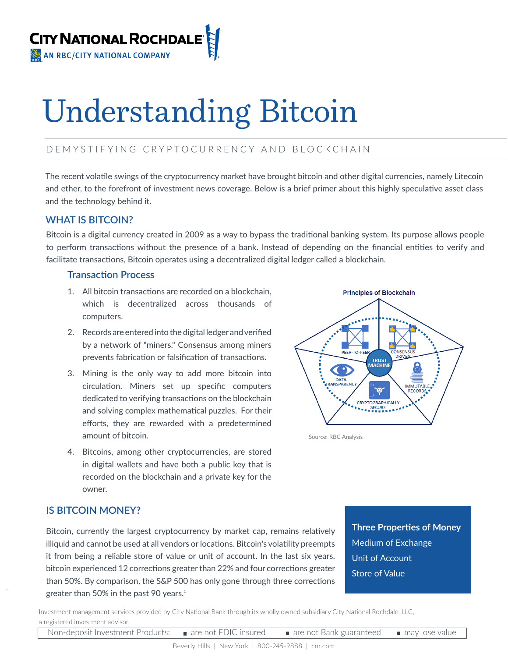

# Understanding Bitcoin

## DEMYSTIFYING CRYPTOCURRENCY AND BLOCKCHAIN

The recent volatile swings of the cryptocurrency market have brought bitcoin and other digital currencies, namely Litecoin and ether, to the forefront of investment news coverage. Below is a brief primer about this highly speculative asset class and the technology behind it.

#### **WHAT IS BITCOIN?**

Bitcoin is a digital currency created in 2009 as a way to bypass the traditional banking system. Its purpose allows people to perform transactions without the presence of a bank. Instead of depending on the financial entities to verify and facilitate transactions, Bitcoin operates using a decentralized digital ledger called a blockchain.

#### **Transaction Process**

- 1. All bitcoin transactions are recorded on a blockchain, which is decentralized across thousands of computers.
- 2. Records are entered into the digital ledger and verified by a network of "miners." Consensus among miners prevents fabrication or falsification of transactions.
- 3. Mining is the only way to add more bitcoin into circulation. Miners set up specific computers dedicated to verifying transactions on the blockchain and solving complex mathematical puzzles. For their efforts, they are rewarded with a predetermined amount of bitcoin.
- 4. Bitcoins, among other cryptocurrencies, are stored in digital wallets and have both a public key that is recorded on the blockchain and a private key for the owner.



Source: RBC Analysis

### **IS BITCOIN MONEY?**

Bitcoin, currently the largest cryptocurrency by market cap, remains relatively illiquid and cannot be used at all vendors or locations. Bitcoin's volatility preempts it from being a reliable store of value or unit of account. In the last six years, bitcoin experienced 12 corrections greater than 22% and four corrections greater than 50%. By comparison, the S&P 500 has only gone through three corrections greater than 50% in the past 90 years.<sup>1</sup>

**Three Properties of Money** Medium of Exchange Unit of Account Store of Value

Investment management services provided by City National Bank through its wholly owned subsidiary City National Rochdale, LLC, a registered investment advisor.